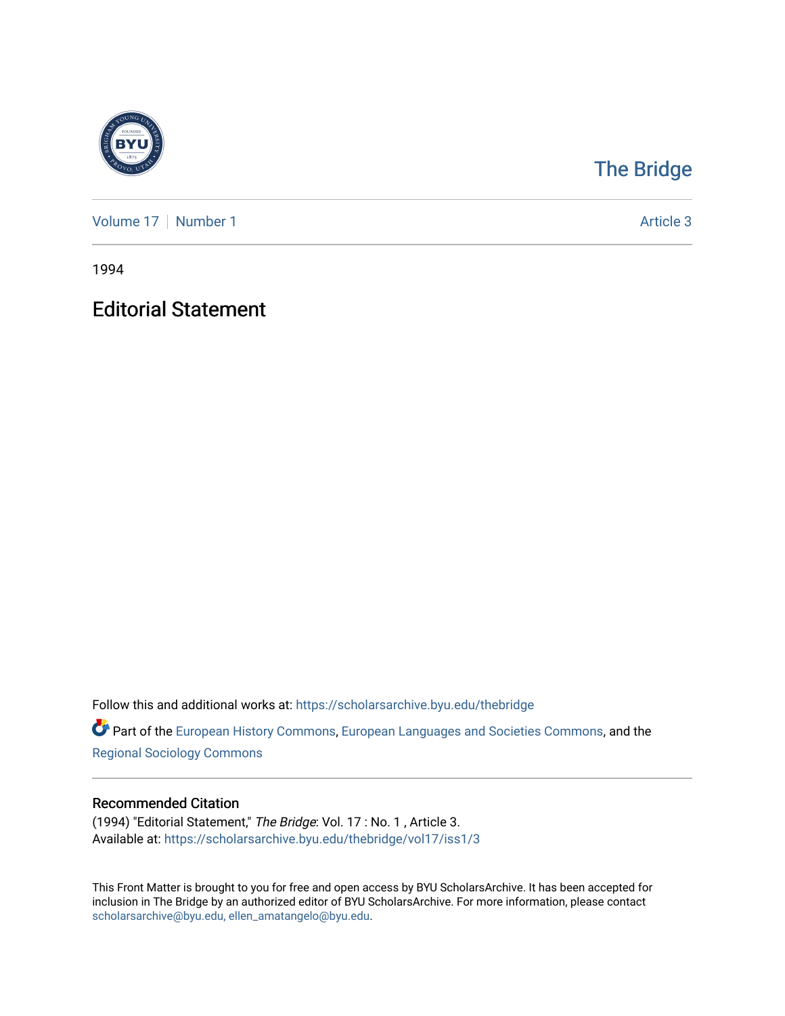

## [The Bridge](https://scholarsarchive.byu.edu/thebridge)

[Volume 17](https://scholarsarchive.byu.edu/thebridge/vol17) | [Number 1](https://scholarsarchive.byu.edu/thebridge/vol17/iss1) Article 3

1994

Editorial Statement

Follow this and additional works at: [https://scholarsarchive.byu.edu/thebridge](https://scholarsarchive.byu.edu/thebridge?utm_source=scholarsarchive.byu.edu%2Fthebridge%2Fvol17%2Fiss1%2F3&utm_medium=PDF&utm_campaign=PDFCoverPages) 

**Part of the [European History Commons](http://network.bepress.com/hgg/discipline/492?utm_source=scholarsarchive.byu.edu%2Fthebridge%2Fvol17%2Fiss1%2F3&utm_medium=PDF&utm_campaign=PDFCoverPages), [European Languages and Societies Commons,](http://network.bepress.com/hgg/discipline/482?utm_source=scholarsarchive.byu.edu%2Fthebridge%2Fvol17%2Fiss1%2F3&utm_medium=PDF&utm_campaign=PDFCoverPages) and the** [Regional Sociology Commons](http://network.bepress.com/hgg/discipline/427?utm_source=scholarsarchive.byu.edu%2Fthebridge%2Fvol17%2Fiss1%2F3&utm_medium=PDF&utm_campaign=PDFCoverPages) 

## Recommended Citation

(1994) "Editorial Statement," The Bridge: Vol. 17 : No. 1 , Article 3. Available at: [https://scholarsarchive.byu.edu/thebridge/vol17/iss1/3](https://scholarsarchive.byu.edu/thebridge/vol17/iss1/3?utm_source=scholarsarchive.byu.edu%2Fthebridge%2Fvol17%2Fiss1%2F3&utm_medium=PDF&utm_campaign=PDFCoverPages) 

This Front Matter is brought to you for free and open access by BYU ScholarsArchive. It has been accepted for inclusion in The Bridge by an authorized editor of BYU ScholarsArchive. For more information, please contact [scholarsarchive@byu.edu, ellen\\_amatangelo@byu.edu](mailto:scholarsarchive@byu.edu,%20ellen_amatangelo@byu.edu).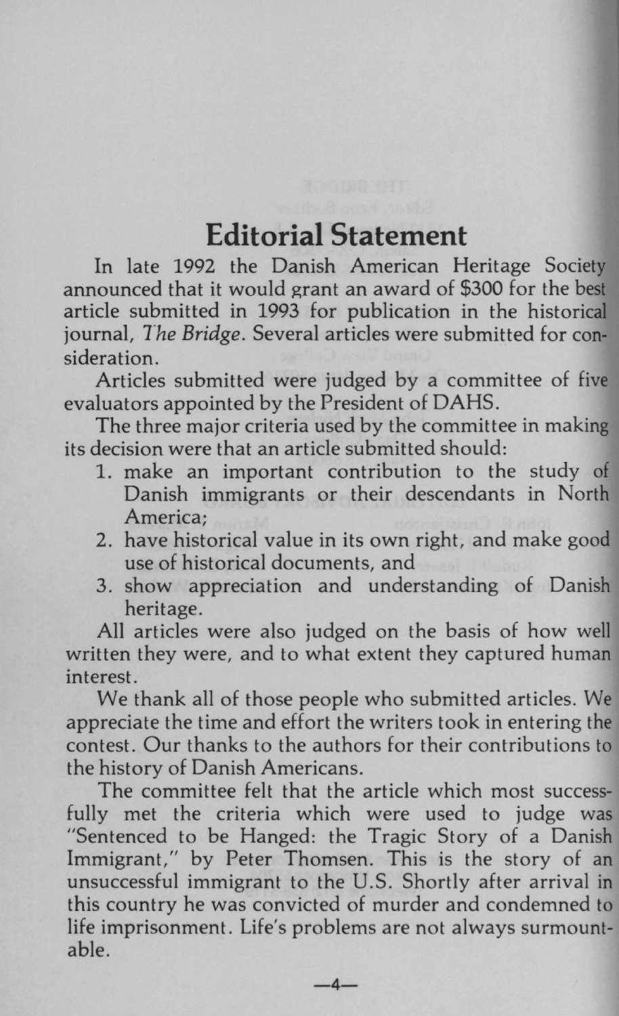## **Editorial Statement**

In late 1992 the Danish American Heritage Society announced that it would grant an award of \$300 for the best article submitted in 1993 for publication in the historical journal, *The Bridge.* Several articles were submitted for consideration.

Articles submitted were judged by a committee of five evaluators appointed by the President of DAHS.

The three major criteria used by the committee in making its decision were that an article submitted should:

- 1. make an important contribution to the study of Danish immigrants or their descendants in North America;
- 2. have historical value in its own right, and make good use of historical documents, and
- 3. show appreciation and understanding of Danish heritage.

All articles were also judged on the basis of how well written they were, and to what extent they captured human interest.

We thank all of those people who submitted articles. We appreciate the time and effort the writers took in entering the contest. Our thanks to the authors for their contributions to the history of Danish Americans.

The committee felt that the article which most successfully met the criteria which were used to judge was "Sentenced to be Hanged: the Tragic Story of a Danish Immigrant," by Peter Thomsen. This is the story of an unsuccessful immigrant to the U.S. Shortly after arrival in this country he was convicted of murder and condemned to life imprisonment. Life's problems are not always surmountable.

 $-4-$